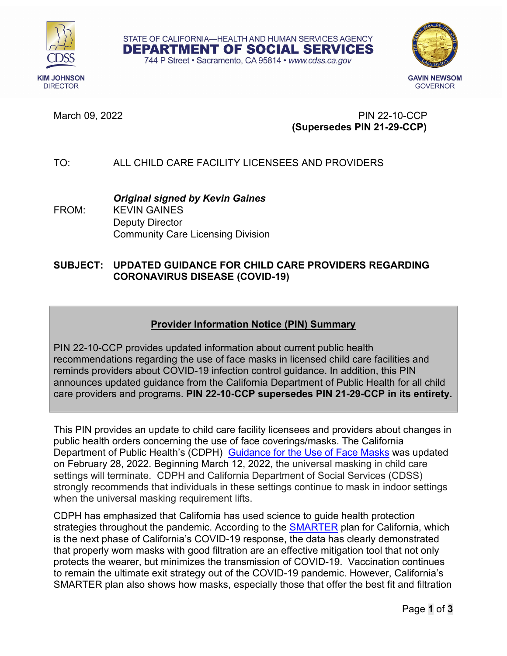



March 09, 2022 PIN 22-10-CCP **(Supersedes PIN 21-29-CCP)** 

# TO: ALL CHILD CARE FACILITY LICENSEES AND PROVIDERS

*Original signed by Kevin Gaines* FROM: KEVIN GAINES Deputy Director Community Care Licensing Division

### **SUBJECT: UPDATED GUIDANCE FOR CHILD CARE PROVIDERS REGARDING CORONAVIRUS DISEASE (COVID-19)**

STATE OF CALIFORNIA-HEALTH AND HUMAN SERVICES AGENCY DEPARTMENT OF SOCIAL SERVICES 744 P Street · Sacramento, CA 95814 · www.cdss.ca.gov

# **Provider Information Notice (PIN) Summary**

PIN 22-10-CCP provides updated information about current public health recommendations regarding the use of face masks in licensed child care facilities and reminds providers about COVID-19 infection control guidance. In addition, this PIN announces updated guidance from the California Department of Public Health for all child care providers and programs. **PIN 22-10-CCP supersedes PIN 21-29-CCP in its entirety.**

This PIN provides an update to child care facility licensees and providers about changes in public health orders concerning the use of face coverings/masks. The California Department of Public Health's (CDPH) [Guidance for the Use of Face Masks](https://www.cdph.ca.gov/Programs/CID/DCDC/Pages/COVID-19/guidance-for-face-coverings.aspx) was updated on February 28, 2022. Beginning March 12, 2022, the universal masking in child care settings will terminate. CDPH and California Department of Social Services (CDSS) strongly recommends that individuals in these settings continue to mask in indoor settings when the universal masking requirement lifts.

CDPH has emphasized that California has used science to guide health protection strategies throughout the pandemic. According to the **SMARTER** plan for California, which is the next phase of California's COVID-19 response, the data has clearly demonstrated that properly worn masks with good filtration are an effective mitigation tool that not only protects the wearer, but minimizes the transmission of COVID-19. Vaccination continues to remain the ultimate exit strategy out of the COVID-19 pandemic. However, California's SMARTER plan also shows how masks, especially those that offer the best fit and filtration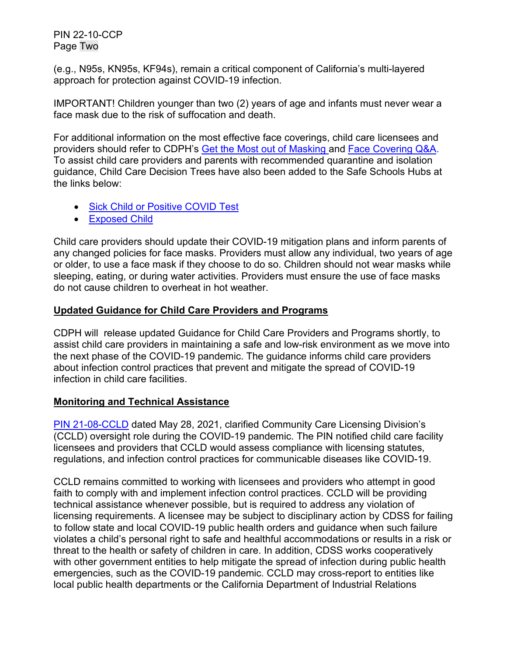PIN 22-10-CCP Page Two

(e.g., N95s, KN95s, KF94s), remain a critical component of California's multi-layered approach for protection against COVID-19 infection.

IMPORTANT! Children younger than two (2) years of age and infants must never wear a face mask due to the risk of suffocation and death.

For additional information on the most effective face coverings, child care licensees and providers should refer to CDPH's [Get the Most out of Masking](https://www.cdph.ca.gov/Programs/CID/DCDC/Pages/COVID-19/Get-the-Most-out-of-Masking.aspx) and [Face Covering Q&A.](https://www.cdph.ca.gov/Programs/CID/DCDC/Pages/COVID-19/Face-Coverings-QA.aspx) To assist child care providers and parents with recommended quarantine and isolation guidance, Child Care Decision Trees have also been added to the [Safe Schools Hubs](https://schools.covid19.ca.gov/) at the links below:

- [Sick Child or Positive COVID Test](https://www.cdph.ca.gov/Programs/CID/DCDC/CDPH%20Document%20Library/COVID-19/Child%20Care%20Guidance%20When%20Child%20Is%20Sick%20or%20Tests%20Positive.pdf)
- [Exposed Child](https://www.cdph.ca.gov/Programs/CID/DCDC/CDPH%20Document%20Library/COVID-19/COVID-19-Exposure-For-Children-In-Child-Care.pdf)

Child care providers should update their COVID-19 mitigation plans and inform parents of any changed policies for face masks. Providers must allow any individual, two years of age or older, to use a face mask if they choose to do so. Children should not wear masks while sleeping, eating, or during water activities. Providers must ensure the use of face masks do not cause children to overheat in hot weather.

## **Updated Guidance for Child Care Providers and Programs**

CDPH will release updated Guidance for Child Care Providers and Programs shortly, to assist child care providers in maintaining a safe and low-risk environment as we move into the next phase of the COVID-19 pandemic. The guidance informs child care providers about infection control practices that prevent and mitigate the spread of COVID-19 infection in child care facilities.

### **Monitoring and Technical Assistance**

[PIN 21-08-CCLD](https://www.cdss.ca.gov/Portals/9/CCLD/PINs/2021/CCP/PIN-21-08-CCLD.pdf) dated May 28, 2021, clarified Community Care Licensing Division's (CCLD) oversight role during the COVID-19 pandemic. The PIN notified child care facility licensees and providers that CCLD would assess compliance with licensing statutes, regulations, and infection control practices for communicable diseases like COVID-19.

CCLD remains committed to working with licensees and providers who attempt in good faith to comply with and implement infection control practices. CCLD will be providing technical assistance whenever possible, but is required to address any violation of licensing requirements. A licensee may be subject to disciplinary action by CDSS for failing to follow state and local COVID-19 public health orders and guidance when such failure violates a child's personal right to safe and healthful accommodations or results in a risk or threat to the health or safety of children in care. In addition, CDSS works cooperatively with other government entities to help mitigate the spread of infection during public health emergencies, such as the COVID-19 pandemic. CCLD may cross-report to entities like local public health departments or the California Department of Industrial Relations